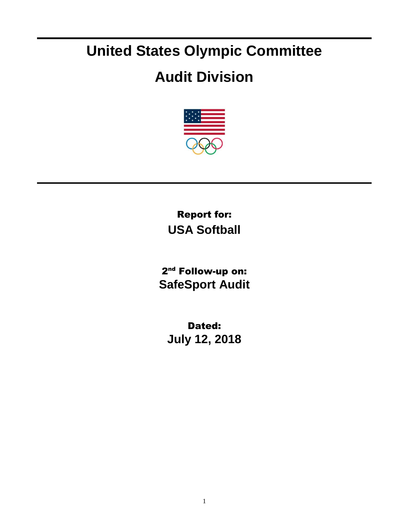## **United States Olympic Committee**

## **Audit Division**



Report for: **USA Softball**

2<sup>nd</sup> Follow-up on: **SafeSport Audit**

Dated: **July 12, 2018**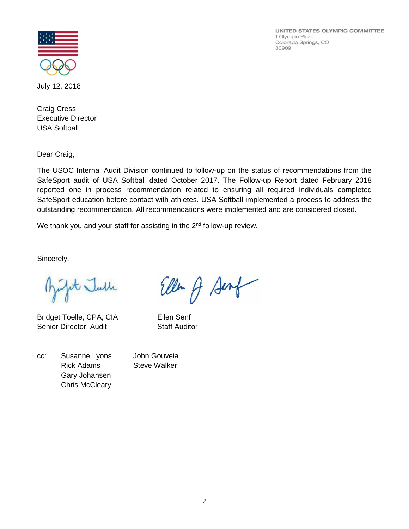UNITED STATES OLYMPIC COMMITTEE 1 Olympic Plaza Colorado Springs, CO 80909



July 12, 2018

Craig Cress Executive Director USA Softball

Dear Craig,

The USOC Internal Audit Division continued to follow-up on the status of recommendations from the SafeSport audit of USA Softball dated October 2017. The Follow-up Report dated February 2018 reported one in process recommendation related to ensuring all required individuals completed SafeSport education before contact with athletes. USA Softball implemented a process to address the outstanding recommendation. All recommendations were implemented and are considered closed.

We thank you and your staff for assisting in the 2<sup>nd</sup> follow-up review.

Sincerely,

fit Julle

Bridget Toelle, CPA, CIA Ellen Senf Senior Director, Audit Staff Auditor

| CC: | Susanne Lyons         |
|-----|-----------------------|
|     | <b>Rick Adams</b>     |
|     | Gary Johansen         |
|     | <b>Chris McCleary</b> |

Ellen of Senf

John Gouveia **Steve Walker**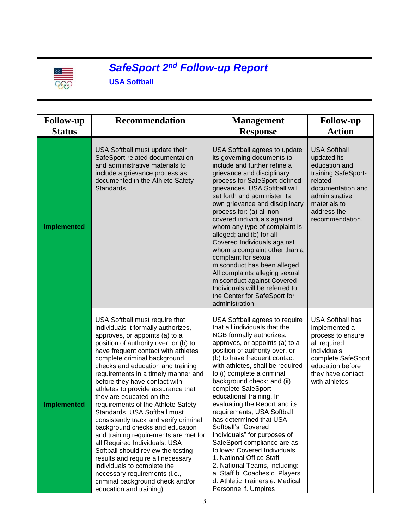

## *SafeSport 2nd Follow-up Report*

**USA Softball**

| <b>Follow-up</b><br><b>Status</b> | <b>Recommendation</b>                                                                                                                                                                                                                                                                                                                                                                                                                                                                                                                                                                                                                                                                                                                                                                                                                          | <b>Management</b><br><b>Response</b>                                                                                                                                                                                                                                                                                                                                                                                                                                                                                                                                                                                                                                                                                        | <b>Follow-up</b><br><b>Action</b>                                                                                                                                              |
|-----------------------------------|------------------------------------------------------------------------------------------------------------------------------------------------------------------------------------------------------------------------------------------------------------------------------------------------------------------------------------------------------------------------------------------------------------------------------------------------------------------------------------------------------------------------------------------------------------------------------------------------------------------------------------------------------------------------------------------------------------------------------------------------------------------------------------------------------------------------------------------------|-----------------------------------------------------------------------------------------------------------------------------------------------------------------------------------------------------------------------------------------------------------------------------------------------------------------------------------------------------------------------------------------------------------------------------------------------------------------------------------------------------------------------------------------------------------------------------------------------------------------------------------------------------------------------------------------------------------------------------|--------------------------------------------------------------------------------------------------------------------------------------------------------------------------------|
|                                   |                                                                                                                                                                                                                                                                                                                                                                                                                                                                                                                                                                                                                                                                                                                                                                                                                                                |                                                                                                                                                                                                                                                                                                                                                                                                                                                                                                                                                                                                                                                                                                                             |                                                                                                                                                                                |
| <b>Implemented</b>                | USA Softball must update their<br>SafeSport-related documentation<br>and administrative materials to<br>include a grievance process as<br>documented in the Athlete Safety<br>Standards.                                                                                                                                                                                                                                                                                                                                                                                                                                                                                                                                                                                                                                                       | USA Softball agrees to update<br>its governing documents to<br>include and further refine a<br>grievance and disciplinary<br>process for SafeSport-defined<br>grievances. USA Softball will<br>set forth and administer its<br>own grievance and disciplinary<br>process for: (a) all non-<br>covered individuals against<br>whom any type of complaint is<br>alleged; and (b) for all<br>Covered Individuals against<br>whom a complaint other than a<br>complaint for sexual<br>misconduct has been alleged.<br>All complaints alleging sexual<br>misconduct against Covered<br>Individuals will be referred to<br>the Center for SafeSport for<br>administration.                                                        | <b>USA Softball</b><br>updated its<br>education and<br>training SafeSport-<br>related<br>documentation and<br>administrative<br>materials to<br>address the<br>recommendation. |
| <b>Implemented</b>                | USA Softball must require that<br>individuals it formally authorizes,<br>approves, or appoints (a) to a<br>position of authority over, or (b) to<br>have frequent contact with athletes<br>complete criminal background<br>checks and education and training<br>requirements in a timely manner and<br>before they have contact with<br>athletes to provide assurance that<br>they are educated on the<br>requirements of the Athlete Safety<br>Standards. USA Softball must<br>consistently track and verify criminal<br>background checks and education<br>and training requirements are met for<br>all Required Individuals. USA<br>Softball should review the testing<br>results and require all necessary<br>individuals to complete the<br>necessary requirements (i.e.,<br>criminal background check and/or<br>education and training). | USA Softball agrees to require<br>that all individuals that the<br>NGB formally authorizes,<br>approves, or appoints (a) to a<br>position of authority over, or<br>(b) to have frequent contact<br>with athletes, shall be required<br>to (i) complete a criminal<br>background check; and (ii)<br>complete SafeSport<br>educational training. In<br>evaluating the Report and its<br>requirements, USA Softball<br>has determined that USA<br>Softball's "Covered<br>Individuals" for purposes of<br>SafeSport compliance are as<br>follows: Covered Individuals<br>1. National Office Staff<br>2. National Teams, including:<br>a. Staff b. Coaches c. Players<br>d. Athletic Trainers e. Medical<br>Personnel f. Umpires | <b>USA Softball has</b><br>implemented a<br>process to ensure<br>all required<br>individuals<br>complete SafeSport<br>education before<br>they have contact<br>with athletes.  |